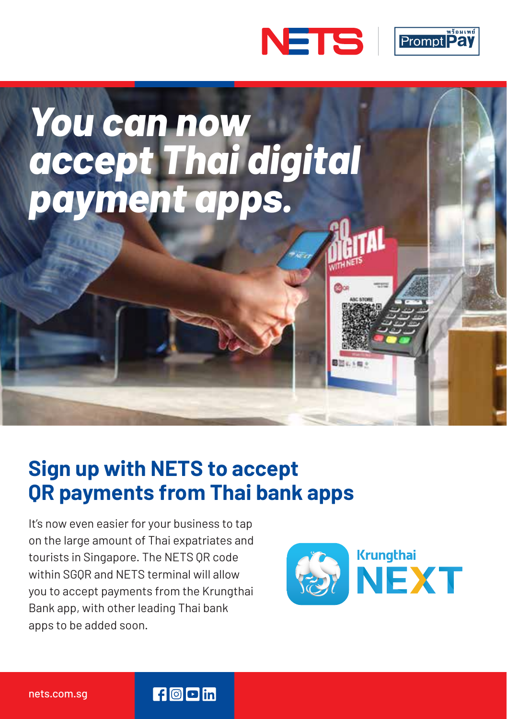





### **Sign up with NETS to accept QR payments from Thai bank apps**

 $f$   $\odot$   $\blacksquare$  in

It's now even easier for your business to tap on the large amount of Thai expatriates and tourists in Singapore. The NETS QR code within SGQR and NETS terminal will allow you to accept payments from the Krungthai Bank app, with other leading Thai bank apps to be added soon.

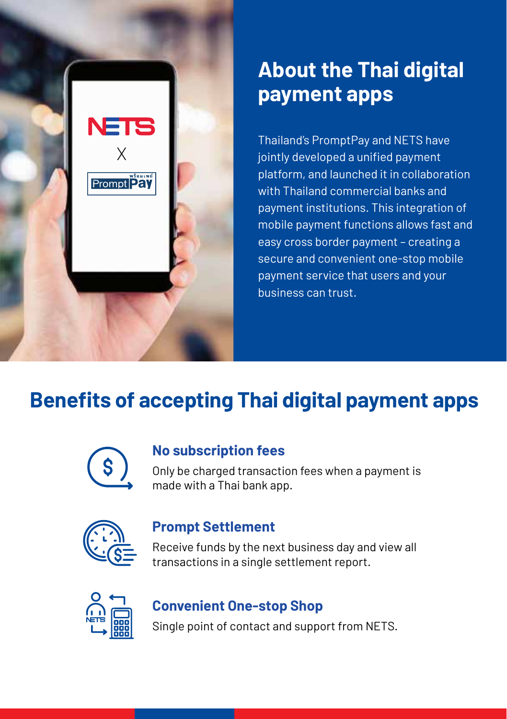

## **About the Thai digital payment apps**

Thailand's PromptPay and NETS have jointly developed a unified payment platform, and launched it in collaboration with Thailand commercial banks and payment institutions. This integration of mobile payment functions allows fast and easy cross border payment – creating a secure and convenient one-stop mobile payment service that users and your business can trust.

# **Benefits of accepting Thai digital payment apps**



#### **No subscription fees**

Only be charged transaction fees when a payment is made with a Thai bank app.



#### **Prompt Settlement**

Receive funds by the next business day and view all transactions in a single settlement report.



### **Convenient One-stop Shop**

Single point of contact and support from NETS.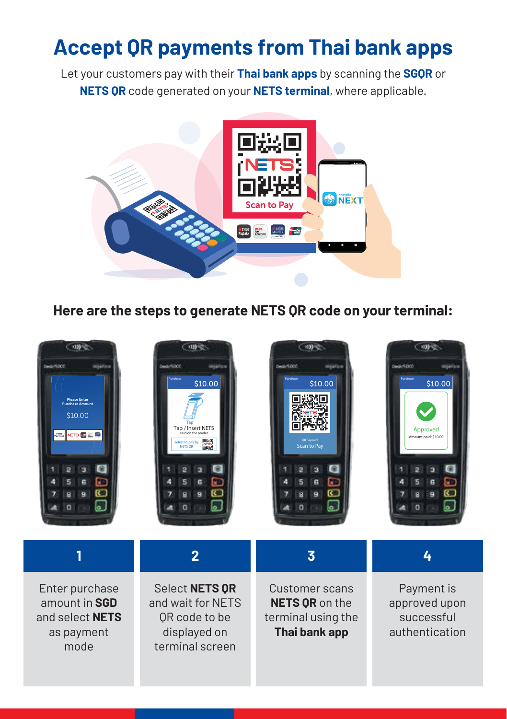## **Accept QR payments from Thai bank apps**

Let your customers pay with their **Thai bank apps** by scanning the **SGQR** or **NETS QR** code generated on your **NETS terminal**, where applicable.



**Here are the steps to generate NETS QR code on your terminal:**